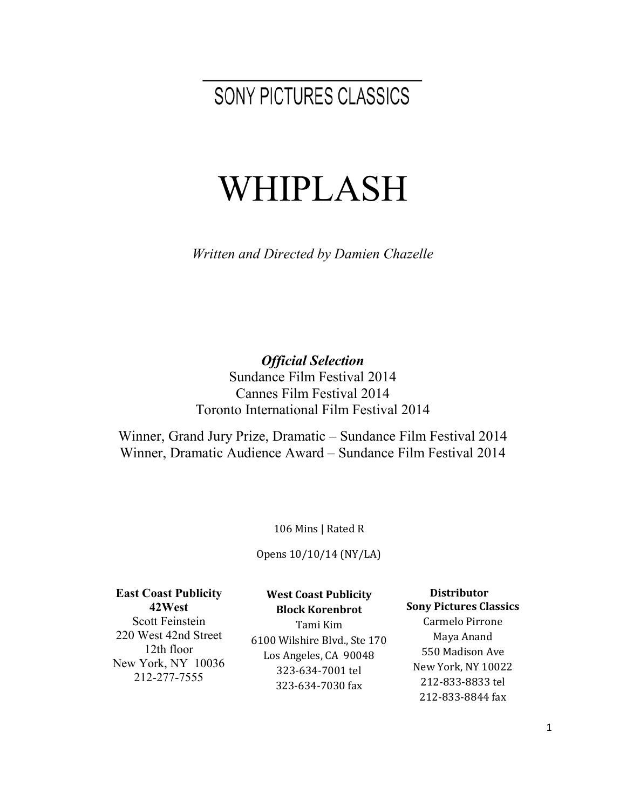SONY PICTURES CLASSICS

# WHIPLASH

*Written and Directed by Damien Chazelle*

*Official Selection* Sundance Film Festival 2014 Cannes Film Festival 2014 Toronto International Film Festival 2014

Winner, Grand Jury Prize, Dramatic – Sundance Film Festival 2014 Winner, Dramatic Audience Award – Sundance Film Festival 2014

106 Mins | Rated R

Opens 10/10/14 (NY/LA)

**East Coast Publicity 42West**

Scott Feinstein 220 West 42nd Street 12th floor New York, NY 10036 212-277-7555

**West Coast Publicity Block!Korenbrot**

Tami!Kim 6100 Wilshire Blvd., Ste 170 Los Angeles, CA 90048 323-634-7001 tel 323-634-7030 fax

**!!!!Distributor Sony Pictures Classics** Carmelo Pirrone Maya Anand 550 Madison Ave New York, NY 10022 212-833-8833 tel 212-833-8844 fax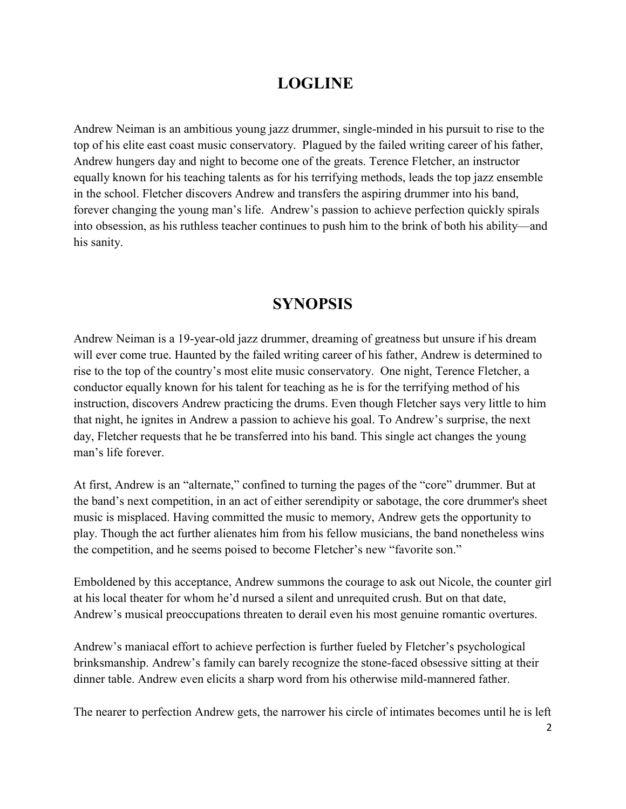## **LOGLINE**

Andrew Neiman is an ambitious young jazz drummer, single-minded in his pursuit to rise to the top of his elite east coast music conservatory. Plagued by the failed writing career of his father, Andrew hungers day and night to become one of the greats. Terence Fletcher, an instructor equally known for his teaching talents as for his terrifying methods, leads the top jazz ensemble in the school. Fletcher discovers Andrew and transfers the aspiring drummer into his band, forever changing the young man's life. Andrew's passion to achieve perfection quickly spirals into obsession, as his ruthless teacher continues to push him to the brink of both his ability—and his sanity.

## **SYNOPSIS**

Andrew Neiman is a 19-year-old jazz drummer, dreaming of greatness but unsure if his dream will ever come true. Haunted by the failed writing career of his father, Andrew is determined to rise to the top of the country's most elite music conservatory. One night, Terence Fletcher, a conductor equally known for his talent for teaching as he is for the terrifying method of his instruction, discovers Andrew practicing the drums. Even though Fletcher says very little to him that night, he ignites in Andrew a passion to achieve his goal. To Andrew's surprise, the next day, Fletcher requests that he be transferred into his band. This single act changes the young man's life forever.

At first, Andrew is an "alternate," confined to turning the pages of the "core" drummer. But at the band's next competition, in an act of either serendipity or sabotage, the core drummer's sheet music is misplaced. Having committed the music to memory, Andrew gets the opportunity to play. Though the act further alienates him from his fellow musicians, the band nonetheless wins the competition, and he seems poised to become Fletcher's new "favorite son."

Emboldened by this acceptance, Andrew summons the courage to ask out Nicole, the counter girl at his local theater for whom he'd nursed a silent and unrequited crush. But on that date, Andrew's musical preoccupations threaten to derail even his most genuine romantic overtures.

Andrew's maniacal effort to achieve perfection is further fueled by Fletcher's psychological brinksmanship. Andrew's family can barely recognize the stone-faced obsessive sitting at their dinner table. Andrew even elicits a sharp word from his otherwise mild-mannered father.

The nearer to perfection Andrew gets, the narrower his circle of intimates becomes until he is left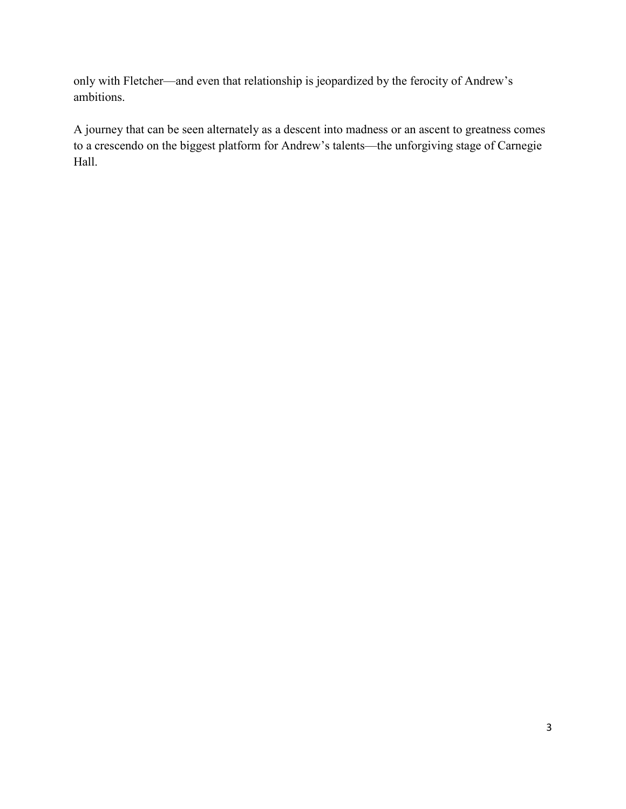only with Fletcher—and even that relationship is jeopardized by the ferocity of Andrew's ambitions.

A journey that can be seen alternately as a descent into madness or an ascent to greatness comes to a crescendo on the biggest platform for Andrew's talents—the unforgiving stage of Carnegie Hall.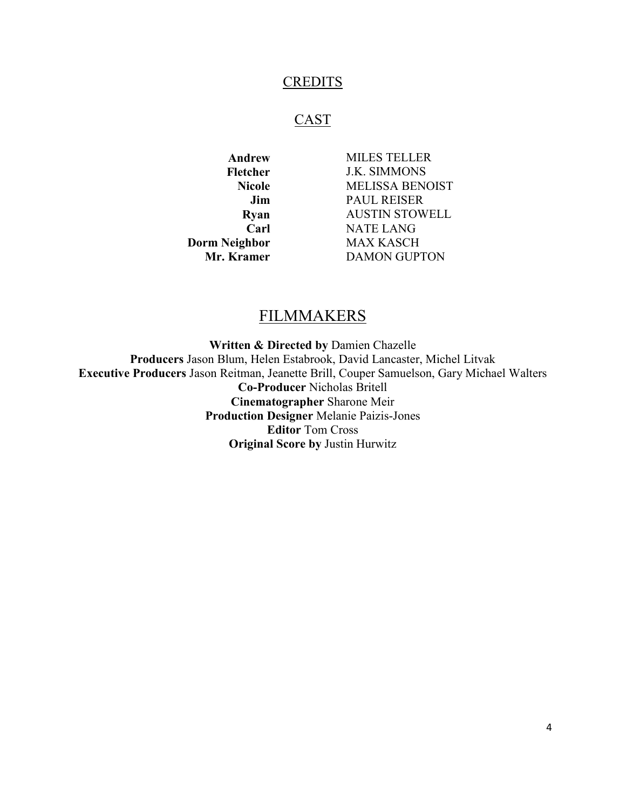#### **CREDITS**

#### **CAST**

**Carl Dorm Neighbor Mr. Kramer**

**Andrew** MILES TELLER **Fletcher** J.K. SIMMONS **Nicole** MELISSA BENOIST **Jim** PAUL REISER **Ryan** AUSTIN STOWELL NATE LANG MAX KASCH DAMON GUPTON

### **FILMMAKERS**

**Written & Directed by** Damien Chazelle **Producers** Jason Blum, Helen Estabrook, David Lancaster, Michel Litvak **Executive Producers** Jason Reitman, Jeanette Brill, Couper Samuelson, Gary Michael Walters **Co-Producer** Nicholas Britell **Cinematographer** Sharone Meir **Production Designer** Melanie Paizis-Jones **Editor** Tom Cross **Original Score by** Justin Hurwitz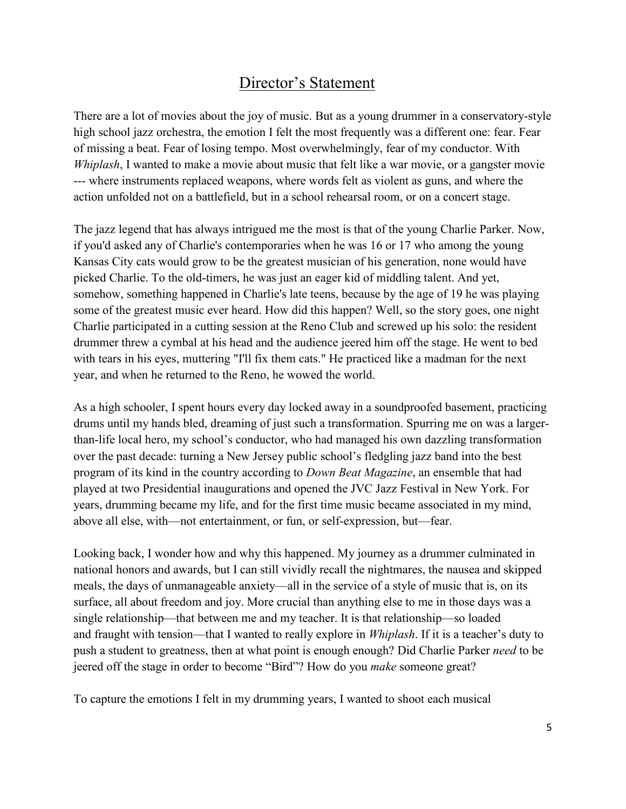## Director's Statement

There are a lot of movies about the joy of music. But as a young drummer in a conservatory-style high school jazz orchestra, the emotion I felt the most frequently was a different one: fear. Fear of missing a beat. Fear of losing tempo. Most overwhelmingly, fear of my conductor. With *Whiplash*, I wanted to make a movie about music that felt like a war movie, or a gangster movie --- where instruments replaced weapons, where words felt as violent as guns, and where the action unfolded not on a battlefield, but in a school rehearsal room, or on a concert stage.

The jazz legend that has always intrigued me the most is that of the young Charlie Parker. Now, if you'd asked any of Charlie's contemporaries when he was 16 or 17 who among the young Kansas City cats would grow to be the greatest musician of his generation, none would have picked Charlie. To the old-timers, he was just an eager kid of middling talent. And yet, somehow, something happened in Charlie's late teens, because by the age of 19 he was playing some of the greatest music ever heard. How did this happen? Well, so the story goes, one night Charlie participated in a cutting session at the Reno Club and screwed up his solo: the resident drummer threw a cymbal at his head and the audience jeered him off the stage. He went to bed with tears in his eyes, muttering "I'll fix them cats." He practiced like a madman for the next year, and when he returned to the Reno, he wowed the world.

As a high schooler, I spent hours every day locked away in a soundproofed basement, practicing drums until my hands bled, dreaming of just such a transformation. Spurring me on was a largerthan-life local hero, my school's conductor, who had managed his own dazzling transformation over the past decade: turning a New Jersey public school's fledgling jazz band into the best program of its kind in the country according to *Down Beat Magazine*, an ensemble that had played at two Presidential inaugurations and opened the JVC Jazz Festival in New York. For years, drumming became my life, and for the first time music became associated in my mind, above all else, with—not entertainment, or fun, or self-expression, but—fear.

Looking back, I wonder how and why this happened. My journey as a drummer culminated in national honors and awards, but I can still vividly recall the nightmares, the nausea and skipped meals, the days of unmanageable anxiety—all in the service of a style of music that is, on its surface, all about freedom and joy. More crucial than anything else to me in those days was a single relationship—that between me and my teacher. It is that relationship—so loaded and fraught with tension—that I wanted to really explore in *Whiplash*. If it is a teacher's duty to push a student to greatness, then at what point is enough enough? Did Charlie Parker *need* to be jeered off the stage in order to become "Bird"? How do you *make* someone great?

To capture the emotions I felt in my drumming years, I wanted to shoot each musical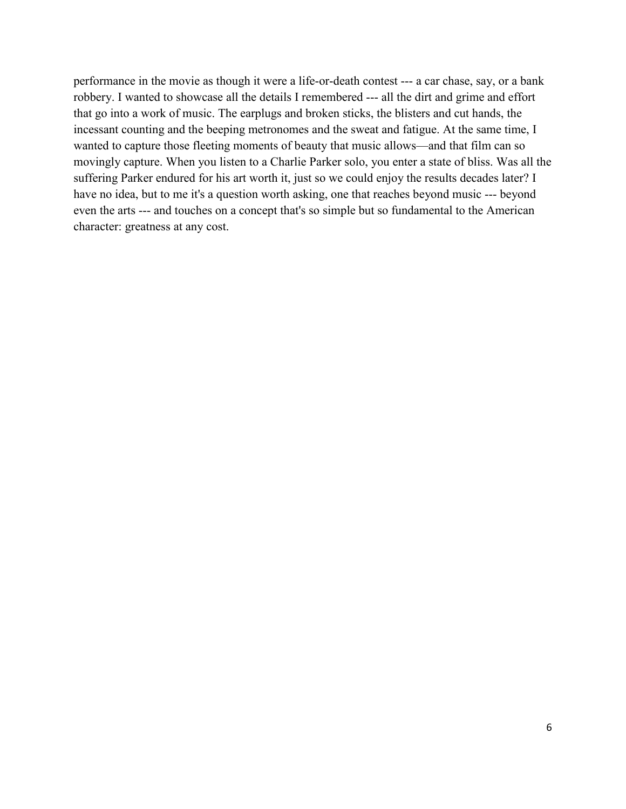performance in the movie as though it were a life-or-death contest --- a car chase, say, or a bank robbery. I wanted to showcase all the details I remembered --- all the dirt and grime and effort that go into a work of music. The earplugs and broken sticks, the blisters and cut hands, the incessant counting and the beeping metronomes and the sweat and fatigue. At the same time, I wanted to capture those fleeting moments of beauty that music allows—and that film can so movingly capture. When you listen to a Charlie Parker solo, you enter a state of bliss. Was all the suffering Parker endured for his art worth it, just so we could enjoy the results decades later? I have no idea, but to me it's a question worth asking, one that reaches beyond music --- beyond even the arts --- and touches on a concept that's so simple but so fundamental to the American character: greatness at any cost.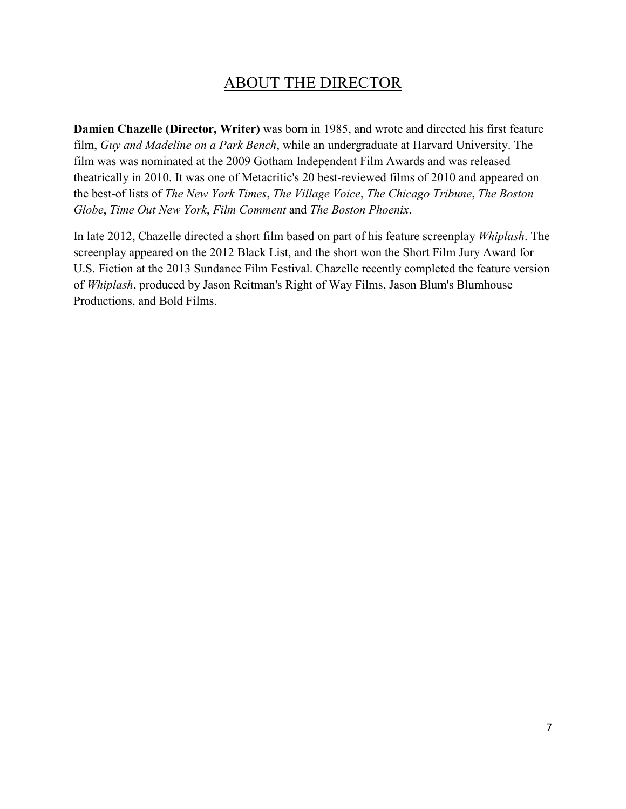## ABOUT THE DIRECTOR

**Damien Chazelle (Director, Writer)** was born in 1985, and wrote and directed his first feature film, *Guy and Madeline on a Park Bench*, while an undergraduate at Harvard University. The film was was nominated at the 2009 Gotham Independent Film Awards and was released theatrically in 2010. It was one of Metacritic's 20 best-reviewed films of 2010 and appeared on the best-of lists of *The New York Times*, *The Village Voice*, *The Chicago Tribune*, *The Boston Globe*, *Time Out New York*, *Film Comment* and *The Boston Phoenix*.

In late 2012, Chazelle directed a short film based on part of his feature screenplay *Whiplash*. The screenplay appeared on the 2012 Black List, and the short won the Short Film Jury Award for U.S. Fiction at the 2013 Sundance Film Festival. Chazelle recently completed the feature version of *Whiplash*, produced by Jason Reitman's Right of Way Films, Jason Blum's Blumhouse Productions, and Bold Films.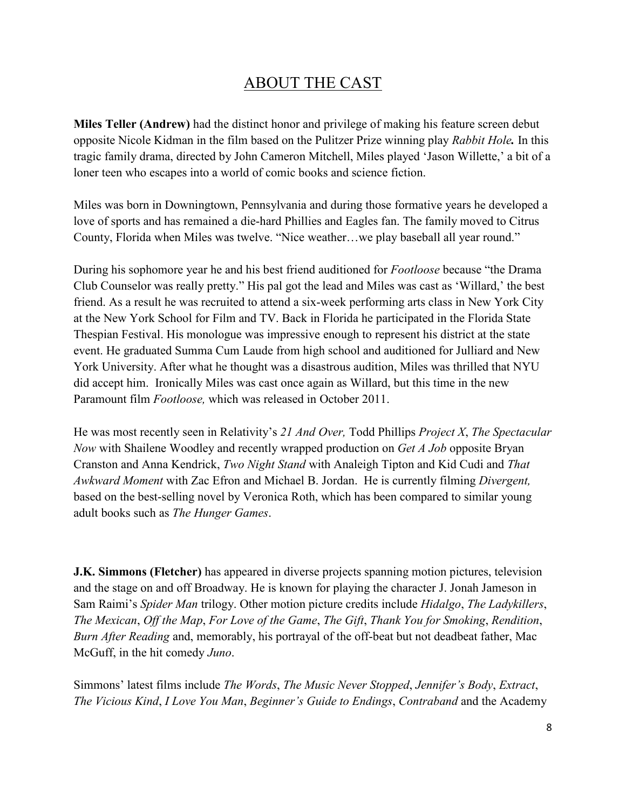## ABOUT THE CAST

**Miles Teller (Andrew)** had the distinct honor and privilege of making his feature screen debut opposite Nicole Kidman in the film based on the Pulitzer Prize winning play *Rabbit Hole.* In this tragic family drama, directed by John Cameron Mitchell, Miles played 'Jason Willette,' a bit of a loner teen who escapes into a world of comic books and science fiction.

Miles was born in Downingtown, Pennsylvania and during those formative years he developed a love of sports and has remained a die-hard Phillies and Eagles fan. The family moved to Citrus County, Florida when Miles was twelve. "Nice weather…we play baseball all year round."

During his sophomore year he and his best friend auditioned for *Footloose* because "the Drama Club Counselor was really pretty." His pal got the lead and Miles was cast as 'Willard,' the best friend. As a result he was recruited to attend a six-week performing arts class in New York City at the New York School for Film and TV. Back in Florida he participated in the Florida State Thespian Festival. His monologue was impressive enough to represent his district at the state event. He graduated Summa Cum Laude from high school and auditioned for Julliard and New York University. After what he thought was a disastrous audition, Miles was thrilled that NYU did accept him. Ironically Miles was cast once again as Willard, but this time in the new Paramount film *Footloose,* which was released in October 2011.

He was most recently seen in Relativity's *21 And Over,* Todd Phillips *Project X*, *The Spectacular Now* with Shailene Woodley and recently wrapped production on *Get A Job* opposite Bryan Cranston and Anna Kendrick, *Two Night Stand* with Analeigh Tipton and Kid Cudi and *That Awkward Moment* with Zac Efron and Michael B. Jordan. He is currently filming *Divergent,*  based on the best-selling novel by Veronica Roth, which has been compared to similar young adult books such as *The Hunger Games*.

**J.K. Simmons (Fletcher)** has appeared in diverse projects spanning motion pictures, television and the stage on and off Broadway. He is known for playing the character J. Jonah Jameson in Sam Raimi's *Spider Man* trilogy. Other motion picture credits include *Hidalgo*, *The Ladykillers*, *The Mexican*, *Off the Map*, *For Love of the Game*, *The Gift*, *Thank You for Smoking*, *Rendition*, *Burn After Reading* and, memorably, his portrayal of the off-beat but not deadbeat father, Mac McGuff, in the hit comedy *Juno*.

Simmons' latest films include *The Words*, *The Music Never Stopped*, *Jennifer's Body*, *Extract*, *The Vicious Kind*, *I Love You Man*, *Beginner's Guide to Endings*, *Contraband* and the Academy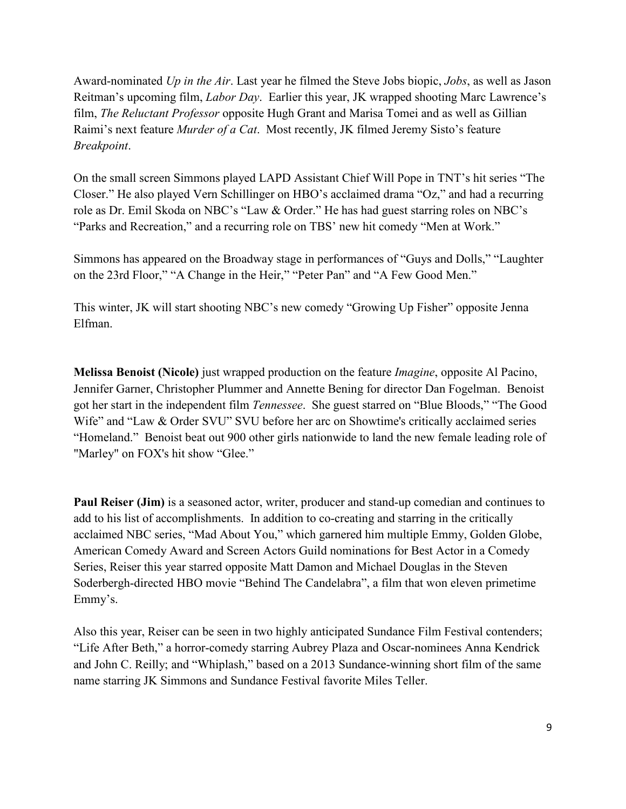Award-nominated *Up in the Air*. Last year he filmed the Steve Jobs biopic, *Jobs*, as well as Jason Reitman's upcoming film, *Labor Day*. Earlier this year, JK wrapped shooting Marc Lawrence's film, *The Reluctant Professor* opposite Hugh Grant and Marisa Tomei and as well as Gillian Raimi's next feature *Murder of a Cat*. Most recently, JK filmed Jeremy Sisto's feature *Breakpoint*.

On the small screen Simmons played LAPD Assistant Chief Will Pope in TNT's hit series "The Closer." He also played Vern Schillinger on HBO's acclaimed drama "Oz," and had a recurring role as Dr. Emil Skoda on NBC's "Law & Order." He has had guest starring roles on NBC's "Parks and Recreation," and a recurring role on TBS' new hit comedy "Men at Work."

Simmons has appeared on the Broadway stage in performances of "Guys and Dolls," "Laughter on the 23rd Floor," "A Change in the Heir," "Peter Pan" and "A Few Good Men."

This winter, JK will start shooting NBC's new comedy "Growing Up Fisher" opposite Jenna Elfman.

**Melissa Benoist (Nicole)** just wrapped production on the feature *Imagine*, opposite Al Pacino, Jennifer Garner, Christopher Plummer and Annette Bening for director Dan Fogelman. Benoist got her start in the independent film *Tennessee*. She guest starred on "Blue Bloods," "The Good Wife" and "Law & Order SVU" SVU before her arc on Showtime's critically acclaimed series "Homeland." Benoist beat out 900 other girls nationwide to land the new female leading role of "Marley" on FOX's hit show "Glee."

**Paul Reiser (Jim)** is a seasoned actor, writer, producer and stand-up comedian and continues to add to his list of accomplishments. In addition to co-creating and starring in the critically acclaimed NBC series, "Mad About You," which garnered him multiple Emmy, Golden Globe, American Comedy Award and Screen Actors Guild nominations for Best Actor in a Comedy Series, Reiser this year starred opposite Matt Damon and Michael Douglas in the Steven Soderbergh-directed HBO movie "Behind The Candelabra", a film that won eleven primetime Emmy's.

Also this year, Reiser can be seen in two highly anticipated Sundance Film Festival contenders; "Life After Beth," a horror-comedy starring Aubrey Plaza and Oscar-nominees Anna Kendrick and John C. Reilly; and "Whiplash," based on a 2013 Sundance-winning short film of the same name starring JK Simmons and Sundance Festival favorite Miles Teller.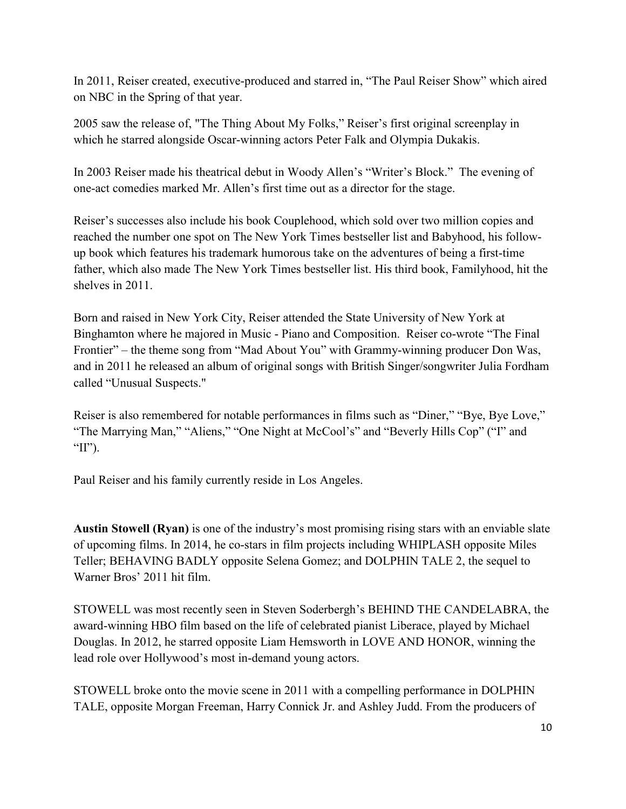In 2011, Reiser created, executive-produced and starred in, "The Paul Reiser Show" which aired on NBC in the Spring of that year.

2005 saw the release of, "The Thing About My Folks," Reiser's first original screenplay in which he starred alongside Oscar-winning actors Peter Falk and Olympia Dukakis.

In 2003 Reiser made his theatrical debut in Woody Allen's "Writer's Block." The evening of one-act comedies marked Mr. Allen's first time out as a director for the stage.

Reiser's successes also include his book Couplehood, which sold over two million copies and reached the number one spot on The New York Times bestseller list and Babyhood, his followup book which features his trademark humorous take on the adventures of being a first-time father, which also made The New York Times bestseller list. His third book, Familyhood, hit the shelves in 2011.

Born and raised in New York City, Reiser attended the State University of New York at Binghamton where he majored in Music - Piano and Composition. Reiser co-wrote "The Final Frontier" – the theme song from "Mad About You" with Grammy-winning producer Don Was, and in 2011 he released an album of original songs with British Singer/songwriter Julia Fordham called "Unusual Suspects."

Reiser is also remembered for notable performances in films such as "Diner," "Bye, Bye Love," "The Marrying Man," "Aliens," "One Night at McCool's" and "Beverly Hills Cop" ("I" and "II").

Paul Reiser and his family currently reside in Los Angeles.

**Austin Stowell (Ryan)** is one of the industry's most promising rising stars with an enviable slate of upcoming films. In 2014, he co-stars in film projects including WHIPLASH opposite Miles Teller; BEHAVING BADLY opposite Selena Gomez; and DOLPHIN TALE 2, the sequel to Warner Bros' 2011 hit film.

STOWELL was most recently seen in Steven Soderbergh's BEHIND THE CANDELABRA, the award-winning HBO film based on the life of celebrated pianist Liberace, played by Michael Douglas. In 2012, he starred opposite Liam Hemsworth in LOVE AND HONOR, winning the lead role over Hollywood's most in-demand young actors.

STOWELL broke onto the movie scene in 2011 with a compelling performance in DOLPHIN TALE, opposite Morgan Freeman, Harry Connick Jr. and Ashley Judd. From the producers of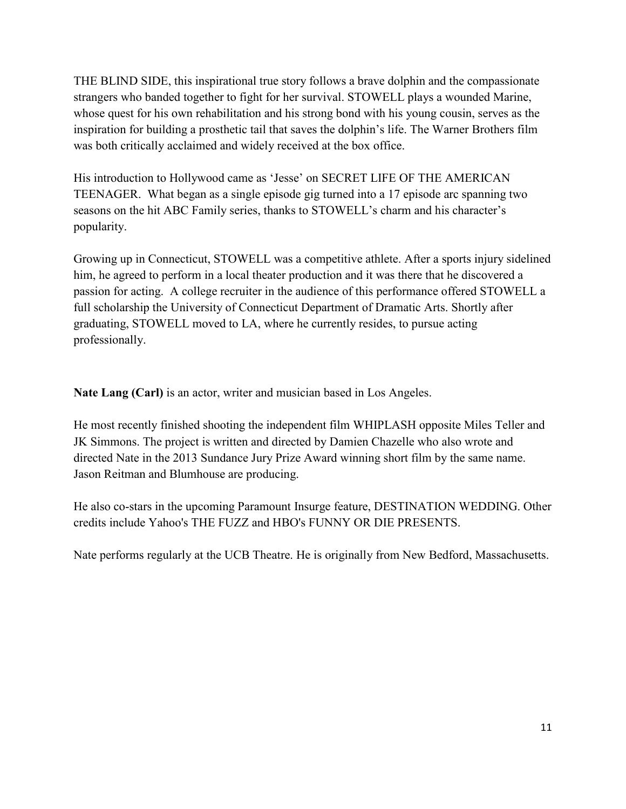THE BLIND SIDE, this inspirational true story follows a brave dolphin and the compassionate strangers who banded together to fight for her survival. STOWELL plays a wounded Marine, whose quest for his own rehabilitation and his strong bond with his young cousin, serves as the inspiration for building a prosthetic tail that saves the dolphin's life. The Warner Brothers film was both critically acclaimed and widely received at the box office.

His introduction to Hollywood came as 'Jesse' on SECRET LIFE OF THE AMERICAN TEENAGER. What began as a single episode gig turned into a 17 episode arc spanning two seasons on the hit ABC Family series, thanks to STOWELL's charm and his character's popularity.

Growing up in Connecticut, STOWELL was a competitive athlete. After a sports injury sidelined him, he agreed to perform in a local theater production and it was there that he discovered a passion for acting. A college recruiter in the audience of this performance offered STOWELL a full scholarship the University of Connecticut Department of Dramatic Arts. Shortly after graduating, STOWELL moved to LA, where he currently resides, to pursue acting professionally.

**Nate Lang (Carl)** is an actor, writer and musician based in Los Angeles.

He most recently finished shooting the independent film WHIPLASH opposite Miles Teller and JK Simmons. The project is written and directed by Damien Chazelle who also wrote and directed Nate in the 2013 Sundance Jury Prize Award winning short film by the same name. Jason Reitman and Blumhouse are producing.

He also co-stars in the upcoming Paramount Insurge feature, DESTINATION WEDDING. Other credits include Yahoo's THE FUZZ and HBO's FUNNY OR DIE PRESENTS.

Nate performs regularly at the UCB Theatre. He is originally from New Bedford, Massachusetts.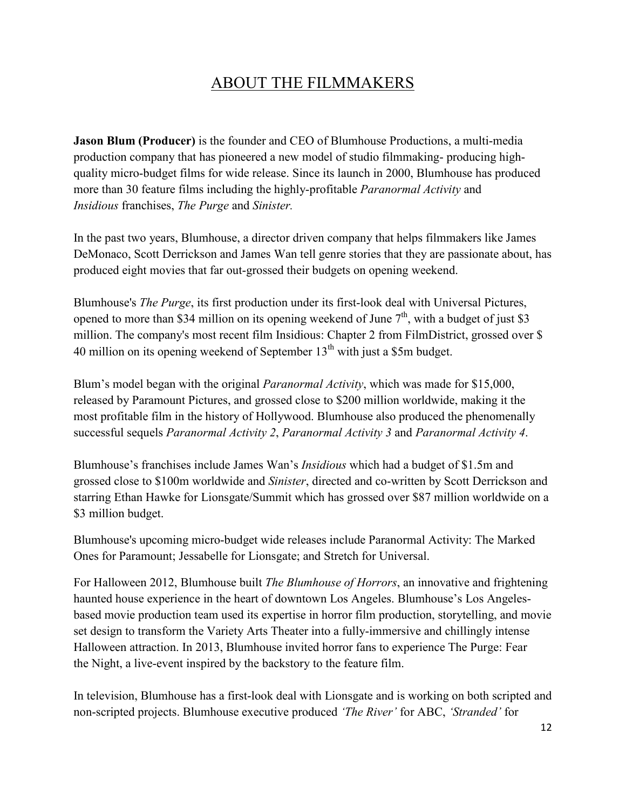# ABOUT THE FILMMAKERS

**Jason Blum (Producer)** is the founder and CEO of Blumhouse Productions, a multi-media production company that has pioneered a new model of studio filmmaking- producing highquality micro-budget films for wide release. Since its launch in 2000, Blumhouse has produced more than 30 feature films including the highly-profitable *Paranormal Activity* and *Insidious* franchises, *The Purge* and *Sinister.*

In the past two years, Blumhouse, a director driven company that helps filmmakers like James DeMonaco, Scott Derrickson and James Wan tell genre stories that they are passionate about, has produced eight movies that far out-grossed their budgets on opening weekend.

Blumhouse's *The Purge*, its first production under its first-look deal with Universal Pictures, opened to more than \$34 million on its opening weekend of June  $7<sup>th</sup>$ , with a budget of just \$3 million. The company's most recent film Insidious: Chapter 2 from FilmDistrict, grossed over \$ 40 million on its opening weekend of September  $13<sup>th</sup>$  with just a \$5m budget.

Blum's model began with the original *Paranormal Activity*, which was made for \$15,000, released by Paramount Pictures, and grossed close to \$200 million worldwide, making it the most profitable film in the history of Hollywood. Blumhouse also produced the phenomenally successful sequels *Paranormal Activity 2*, *Paranormal Activity 3* and *Paranormal Activity 4*.

Blumhouse's franchises include James Wan's *Insidious* which had a budget of \$1.5m and grossed close to \$100m worldwide and *Sinister*, directed and co-written by Scott Derrickson and starring Ethan Hawke for Lionsgate/Summit which has grossed over \$87 million worldwide on a \$3 million budget.

Blumhouse's upcoming micro-budget wide releases include Paranormal Activity: The Marked Ones for Paramount; Jessabelle for Lionsgate; and Stretch for Universal.

For Halloween 2012, Blumhouse built *The Blumhouse of Horrors*, an innovative and frightening haunted house experience in the heart of downtown Los Angeles. Blumhouse's Los Angelesbased movie production team used its expertise in horror film production, storytelling, and movie set design to transform the Variety Arts Theater into a fully-immersive and chillingly intense Halloween attraction. In 2013, Blumhouse invited horror fans to experience The Purge: Fear the Night, a live-event inspired by the backstory to the feature film.

In television, Blumhouse has a first-look deal with Lionsgate and is working on both scripted and non-scripted projects. Blumhouse executive produced *'The River'* for ABC, *'Stranded'* for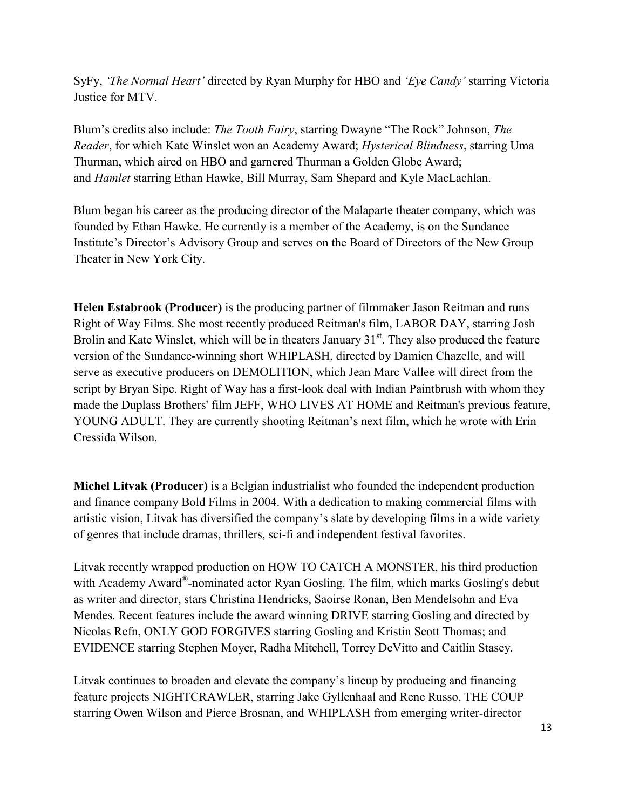SyFy, *'The Normal Heart'* directed by Ryan Murphy for HBO and *'Eye Candy'* starring Victoria Justice for MTV.

Blum's credits also include: *The Tooth Fairy*, starring Dwayne "The Rock" Johnson, *The Reader*, for which Kate Winslet won an Academy Award; *Hysterical Blindness*, starring Uma Thurman, which aired on HBO and garnered Thurman a Golden Globe Award; and *Hamlet* starring Ethan Hawke, Bill Murray, Sam Shepard and Kyle MacLachlan.

Blum began his career as the producing director of the Malaparte theater company, which was founded by Ethan Hawke. He currently is a member of the Academy, is on the Sundance Institute's Director's Advisory Group and serves on the Board of Directors of the New Group Theater in New York City.

**Helen Estabrook (Producer)** is the producing partner of filmmaker Jason Reitman and runs Right of Way Films. She most recently produced Reitman's film, LABOR DAY, starring Josh Brolin and Kate Winslet, which will be in theaters January  $31<sup>st</sup>$ . They also produced the feature version of the Sundance-winning short WHIPLASH, directed by Damien Chazelle, and will serve as executive producers on DEMOLITION, which Jean Marc Vallee will direct from the script by Bryan Sipe. Right of Way has a first-look deal with Indian Paintbrush with whom they made the Duplass Brothers' film JEFF, WHO LIVES AT HOME and Reitman's previous feature, YOUNG ADULT. They are currently shooting Reitman's next film, which he wrote with Erin Cressida Wilson.

**Michel Litvak (Producer)** is a Belgian industrialist who founded the independent production and finance company Bold Films in 2004. With a dedication to making commercial films with artistic vision, Litvak has diversified the company's slate by developing films in a wide variety of genres that include dramas, thrillers, sci-fi and independent festival favorites.

Litvak recently wrapped production on HOW TO CATCH A MONSTER, his third production with Academy Award®-nominated actor Ryan Gosling. The film, which marks Gosling's debut as writer and director, stars Christina Hendricks, Saoirse Ronan, Ben Mendelsohn and Eva Mendes. Recent features include the award winning DRIVE starring Gosling and directed by Nicolas Refn, ONLY GOD FORGIVES starring Gosling and Kristin Scott Thomas; and EVIDENCE starring Stephen Moyer, Radha Mitchell, Torrey DeVitto and Caitlin Stasey.

Litvak continues to broaden and elevate the company's lineup by producing and financing feature projects NIGHTCRAWLER, starring Jake Gyllenhaal and Rene Russo, THE COUP starring Owen Wilson and Pierce Brosnan, and WHIPLASH from emerging writer-director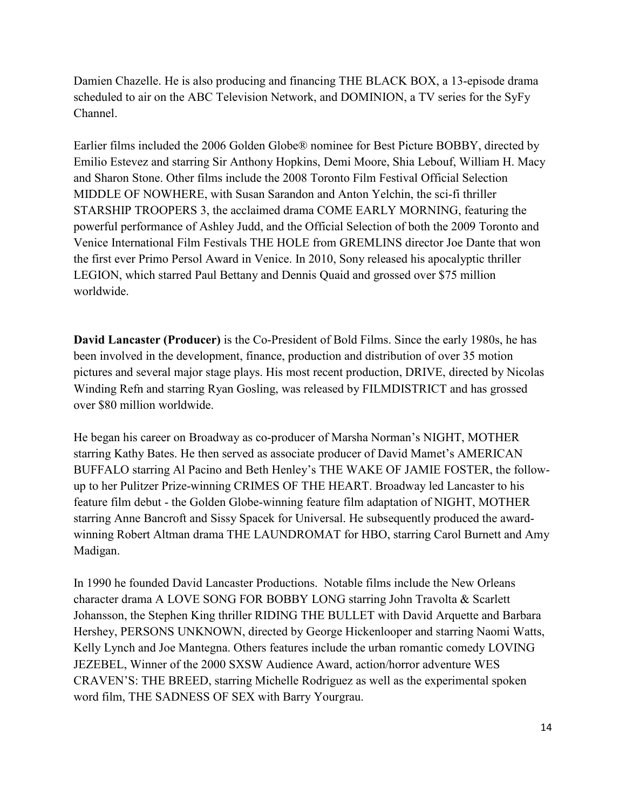Damien Chazelle. He is also producing and financing THE BLACK BOX, a 13-episode drama scheduled to air on the ABC Television Network, and DOMINION, a TV series for the SyFy Channel.

Earlier films included the 2006 Golden Globe® nominee for Best Picture BOBBY, directed by Emilio Estevez and starring Sir Anthony Hopkins, Demi Moore, Shia Lebouf, William H. Macy and Sharon Stone. Other films include the 2008 Toronto Film Festival Official Selection MIDDLE OF NOWHERE, with Susan Sarandon and Anton Yelchin, the sci-fi thriller STARSHIP TROOPERS 3, the acclaimed drama COME EARLY MORNING, featuring the powerful performance of Ashley Judd, and the Official Selection of both the 2009 Toronto and Venice International Film Festivals THE HOLE from GREMLINS director Joe Dante that won the first ever Primo Persol Award in Venice. In 2010, Sony released his apocalyptic thriller LEGION, which starred Paul Bettany and Dennis Quaid and grossed over \$75 million worldwide.

**David Lancaster (Producer)** is the Co-President of Bold Films. Since the early 1980s, he has been involved in the development, finance, production and distribution of over 35 motion pictures and several major stage plays. His most recent production, DRIVE, directed by Nicolas Winding Refn and starring Ryan Gosling, was released by FILMDISTRICT and has grossed over \$80 million worldwide.

He began his career on Broadway as co-producer of Marsha Norman's NIGHT, MOTHER starring Kathy Bates. He then served as associate producer of David Mamet's AMERICAN BUFFALO starring Al Pacino and Beth Henley's THE WAKE OF JAMIE FOSTER, the followup to her Pulitzer Prize-winning CRIMES OF THE HEART. Broadway led Lancaster to his feature film debut - the Golden Globe-winning feature film adaptation of NIGHT, MOTHER starring Anne Bancroft and Sissy Spacek for Universal. He subsequently produced the awardwinning Robert Altman drama THE LAUNDROMAT for HBO, starring Carol Burnett and Amy Madigan.

In 1990 he founded David Lancaster Productions. Notable films include the New Orleans character drama A LOVE SONG FOR BOBBY LONG starring John Travolta & Scarlett Johansson, the Stephen King thriller RIDING THE BULLET with David Arquette and Barbara Hershey, PERSONS UNKNOWN, directed by George Hickenlooper and starring Naomi Watts, Kelly Lynch and Joe Mantegna. Others features include the urban romantic comedy LOVING JEZEBEL, Winner of the 2000 SXSW Audience Award, action/horror adventure WES CRAVEN'S: THE BREED, starring Michelle Rodriguez as well as the experimental spoken word film, THE SADNESS OF SEX with Barry Yourgrau.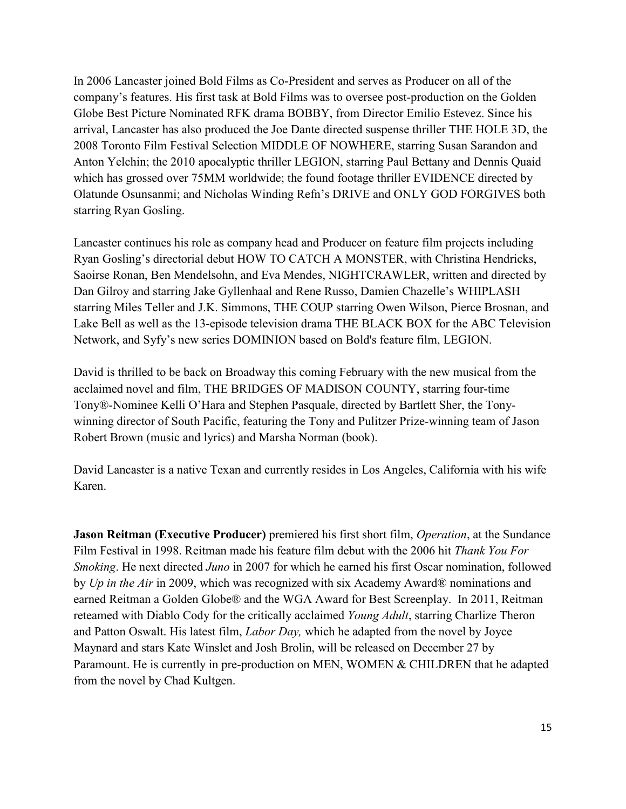In 2006 Lancaster joined Bold Films as Co-President and serves as Producer on all of the company's features. His first task at Bold Films was to oversee post-production on the Golden Globe Best Picture Nominated RFK drama BOBBY, from Director Emilio Estevez. Since his arrival, Lancaster has also produced the Joe Dante directed suspense thriller THE HOLE 3D, the 2008 Toronto Film Festival Selection MIDDLE OF NOWHERE, starring Susan Sarandon and Anton Yelchin; the 2010 apocalyptic thriller LEGION, starring Paul Bettany and Dennis Quaid which has grossed over 75MM worldwide; the found footage thriller EVIDENCE directed by Olatunde Osunsanmi; and Nicholas Winding Refn's DRIVE and ONLY GOD FORGIVES both starring Ryan Gosling.

Lancaster continues his role as company head and Producer on feature film projects including Ryan Gosling's directorial debut HOW TO CATCH A MONSTER, with Christina Hendricks, Saoirse Ronan, Ben Mendelsohn, and Eva Mendes, NIGHTCRAWLER, written and directed by Dan Gilroy and starring Jake Gyllenhaal and Rene Russo, Damien Chazelle's WHIPLASH starring Miles Teller and J.K. Simmons, THE COUP starring Owen Wilson, Pierce Brosnan, and Lake Bell as well as the 13-episode television drama THE BLACK BOX for the ABC Television Network, and Syfy's new series DOMINION based on Bold's feature film, LEGION.

David is thrilled to be back on Broadway this coming February with the new musical from the acclaimed novel and film, THE BRIDGES OF MADISON COUNTY, starring four-time Tony®-Nominee Kelli O'Hara and Stephen Pasquale, directed by Bartlett Sher, the Tonywinning director of South Pacific, featuring the Tony and Pulitzer Prize-winning team of Jason Robert Brown (music and lyrics) and Marsha Norman (book).

David Lancaster is a native Texan and currently resides in Los Angeles, California with his wife Karen.

**Jason Reitman (Executive Producer)** premiered his first short film, *Operation*, at the Sundance Film Festival in 1998. Reitman made his feature film debut with the 2006 hit *Thank You For Smoking*. He next directed *Juno* in 2007 for which he earned his first Oscar nomination, followed by *Up in the Air* in 2009, which was recognized with six Academy Award® nominations and earned Reitman a Golden Globe® and the WGA Award for Best Screenplay. In 2011, Reitman reteamed with Diablo Cody for the critically acclaimed *Young Adult*, starring Charlize Theron and Patton Oswalt. His latest film, *Labor Day,* which he adapted from the novel by Joyce Maynard and stars Kate Winslet and Josh Brolin, will be released on December 27 by Paramount. He is currently in pre-production on MEN, WOMEN & CHILDREN that he adapted from the novel by Chad Kultgen.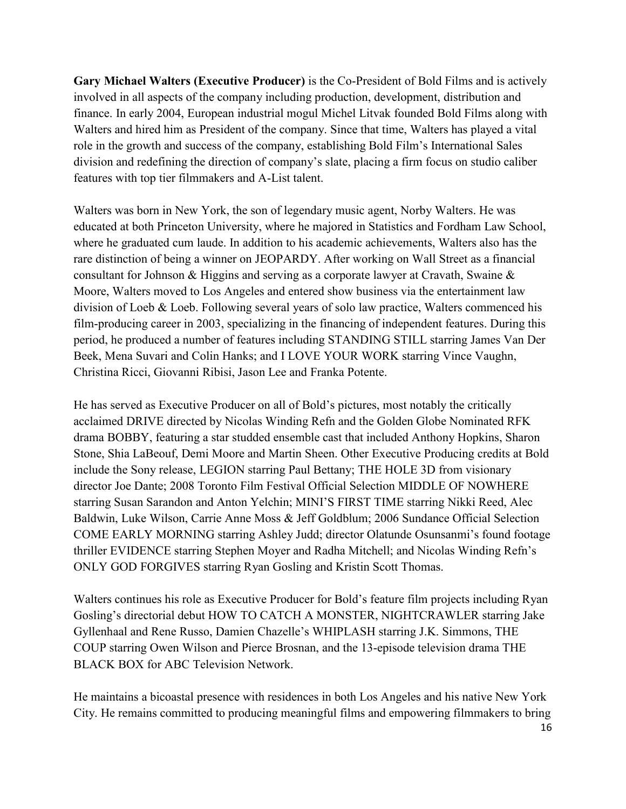**Gary Michael Walters (Executive Producer)** is the Co-President of Bold Films and is actively involved in all aspects of the company including production, development, distribution and finance. In early 2004, European industrial mogul Michel Litvak founded Bold Films along with Walters and hired him as President of the company. Since that time, Walters has played a vital role in the growth and success of the company, establishing Bold Film's International Sales division and redefining the direction of company's slate, placing a firm focus on studio caliber features with top tier filmmakers and A-List talent.

Walters was born in New York, the son of legendary music agent, Norby Walters. He was educated at both Princeton University, where he majored in Statistics and Fordham Law School, where he graduated cum laude. In addition to his academic achievements, Walters also has the rare distinction of being a winner on JEOPARDY. After working on Wall Street as a financial consultant for Johnson & Higgins and serving as a corporate lawyer at Cravath, Swaine & Moore, Walters moved to Los Angeles and entered show business via the entertainment law division of Loeb & Loeb. Following several years of solo law practice, Walters commenced his film-producing career in 2003, specializing in the financing of independent features. During this period, he produced a number of features including STANDING STILL starring James Van Der Beek, Mena Suvari and Colin Hanks; and I LOVE YOUR WORK starring Vince Vaughn, Christina Ricci, Giovanni Ribisi, Jason Lee and Franka Potente.

He has served as Executive Producer on all of Bold's pictures, most notably the critically acclaimed DRIVE directed by Nicolas Winding Refn and the Golden Globe Nominated RFK drama BOBBY, featuring a star studded ensemble cast that included Anthony Hopkins, Sharon Stone, Shia LaBeouf, Demi Moore and Martin Sheen. Other Executive Producing credits at Bold include the Sony release, LEGION starring Paul Bettany; THE HOLE 3D from visionary director Joe Dante; 2008 Toronto Film Festival Official Selection MIDDLE OF NOWHERE starring Susan Sarandon and Anton Yelchin; MINI'S FIRST TIME starring Nikki Reed, Alec Baldwin, Luke Wilson, Carrie Anne Moss & Jeff Goldblum; 2006 Sundance Official Selection COME EARLY MORNING starring Ashley Judd; director Olatunde Osunsanmi's found footage thriller EVIDENCE starring Stephen Moyer and Radha Mitchell; and Nicolas Winding Refn's ONLY GOD FORGIVES starring Ryan Gosling and Kristin Scott Thomas.

Walters continues his role as Executive Producer for Bold's feature film projects including Ryan Gosling's directorial debut HOW TO CATCH A MONSTER, NIGHTCRAWLER starring Jake Gyllenhaal and Rene Russo, Damien Chazelle's WHIPLASH starring J.K. Simmons, THE COUP starring Owen Wilson and Pierce Brosnan, and the 13-episode television drama THE BLACK BOX for ABC Television Network.

He maintains a bicoastal presence with residences in both Los Angeles and his native New York City. He remains committed to producing meaningful films and empowering filmmakers to bring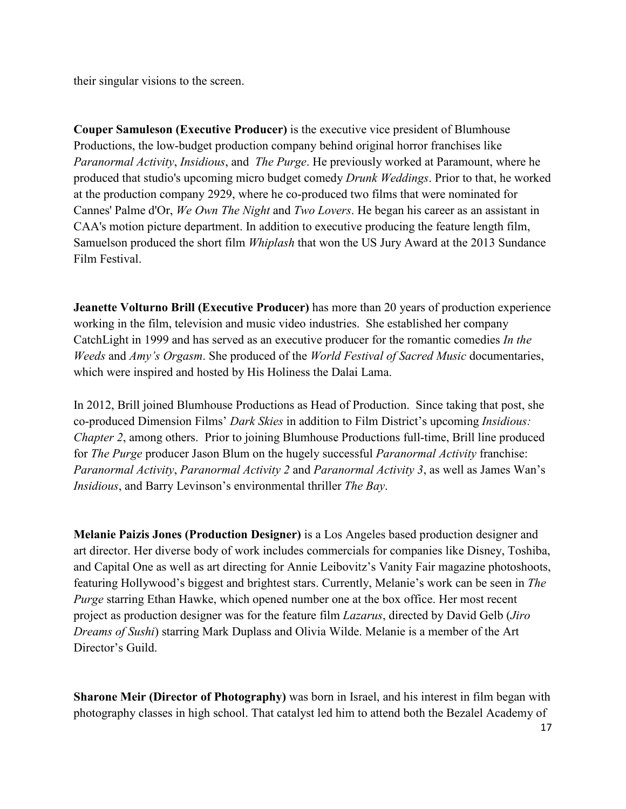their singular visions to the screen.

**Couper Samuleson (Executive Producer)** is the executive vice president of Blumhouse Productions, the low-budget production company behind original horror franchises like *Paranormal Activity*, *Insidious*, and *The Purge*. He previously worked at Paramount, where he produced that studio's upcoming micro budget comedy *Drunk Weddings*. Prior to that, he worked at the production company 2929, where he co-produced two films that were nominated for Cannes' Palme d'Or, *We Own The Night* and *Two Lovers*. He began his career as an assistant in CAA's motion picture department. In addition to executive producing the feature length film, Samuelson produced the short film *Whiplash* that won the US Jury Award at the 2013 Sundance Film Festival.

**Jeanette Volturno Brill (Executive Producer)** has more than 20 years of production experience working in the film, television and music video industries. She established her company CatchLight in 1999 and has served as an executive producer for the romantic comedies *In the Weeds* and *Amy's Orgasm*. She produced of the *World Festival of Sacred Music* documentaries, which were inspired and hosted by His Holiness the Dalai Lama.

In 2012, Brill joined Blumhouse Productions as Head of Production. Since taking that post, she co-produced Dimension Films' *Dark Skies* in addition to Film District's upcoming *Insidious: Chapter 2*, among others. Prior to joining Blumhouse Productions full-time, Brill line produced for *The Purge* producer Jason Blum on the hugely successful *Paranormal Activity* franchise: *Paranormal Activity*, *Paranormal Activity 2* and *Paranormal Activity 3*, as well as James Wan's *Insidious*, and Barry Levinson's environmental thriller *The Bay*.

**Melanie Paizis Jones (Production Designer)** is a Los Angeles based production designer and art director. Her diverse body of work includes commercials for companies like Disney, Toshiba, and Capital One as well as art directing for Annie Leibovitz's Vanity Fair magazine photoshoots, featuring Hollywood's biggest and brightest stars. Currently, Melanie's work can be seen in *The Purge* starring Ethan Hawke, which opened number one at the box office. Her most recent project as production designer was for the feature film *Lazarus*, directed by David Gelb (*Jiro Dreams of Sushi*) starring Mark Duplass and Olivia Wilde. Melanie is a member of the Art Director's Guild

**Sharone Meir (Director of Photography)** was born in Israel, and his interest in film began with photography classes in high school. That catalyst led him to attend both the Bezalel Academy of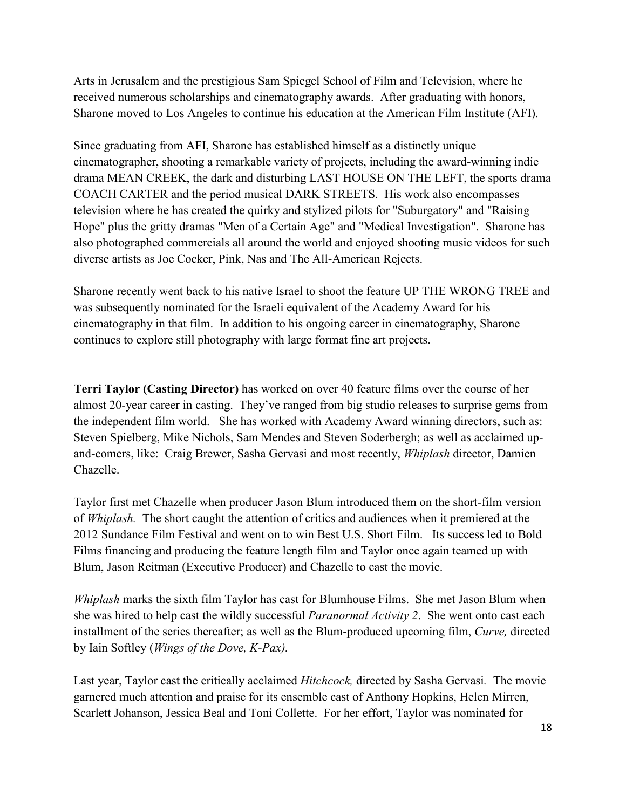Arts in Jerusalem and the prestigious Sam Spiegel School of Film and Television, where he received numerous scholarships and cinematography awards. After graduating with honors, Sharone moved to Los Angeles to continue his education at the American Film Institute (AFI).

Since graduating from AFI, Sharone has established himself as a distinctly unique cinematographer, shooting a remarkable variety of projects, including the award-winning indie drama MEAN CREEK, the dark and disturbing LAST HOUSE ON THE LEFT, the sports drama COACH CARTER and the period musical DARK STREETS. His work also encompasses television where he has created the quirky and stylized pilots for "Suburgatory" and "Raising Hope" plus the gritty dramas "Men of a Certain Age" and "Medical Investigation". Sharone has also photographed commercials all around the world and enjoyed shooting music videos for such diverse artists as Joe Cocker, Pink, Nas and The All-American Rejects.

Sharone recently went back to his native Israel to shoot the feature UP THE WRONG TREE and was subsequently nominated for the Israeli equivalent of the Academy Award for his cinematography in that film. In addition to his ongoing career in cinematography, Sharone continues to explore still photography with large format fine art projects.

**Terri Taylor (Casting Director)** has worked on over 40 feature films over the course of her almost 20-year career in casting. They've ranged from big studio releases to surprise gems from the independent film world. She has worked with Academy Award winning directors, such as: Steven Spielberg, Mike Nichols, Sam Mendes and Steven Soderbergh; as well as acclaimed upand-comers, like: Craig Brewer, Sasha Gervasi and most recently, *Whiplash* director, Damien Chazelle.

Taylor first met Chazelle when producer Jason Blum introduced them on the short-film version of *Whiplash.* The short caught the attention of critics and audiences when it premiered at the 2012 Sundance Film Festival and went on to win Best U.S. Short Film. Its success led to Bold Films financing and producing the feature length film and Taylor once again teamed up with Blum, Jason Reitman (Executive Producer) and Chazelle to cast the movie.

*Whiplash* marks the sixth film Taylor has cast for Blumhouse Films. She met Jason Blum when she was hired to help cast the wildly successful *Paranormal Activity 2*. She went onto cast each installment of the series thereafter; as well as the Blum-produced upcoming film, *Curve,* directed by Iain Softley (*Wings of the Dove, K-Pax).*

Last year, Taylor cast the critically acclaimed *Hitchcock,* directed by Sasha Gervasi*.* The movie garnered much attention and praise for its ensemble cast of Anthony Hopkins, Helen Mirren, Scarlett Johanson, Jessica Beal and Toni Collette. For her effort, Taylor was nominated for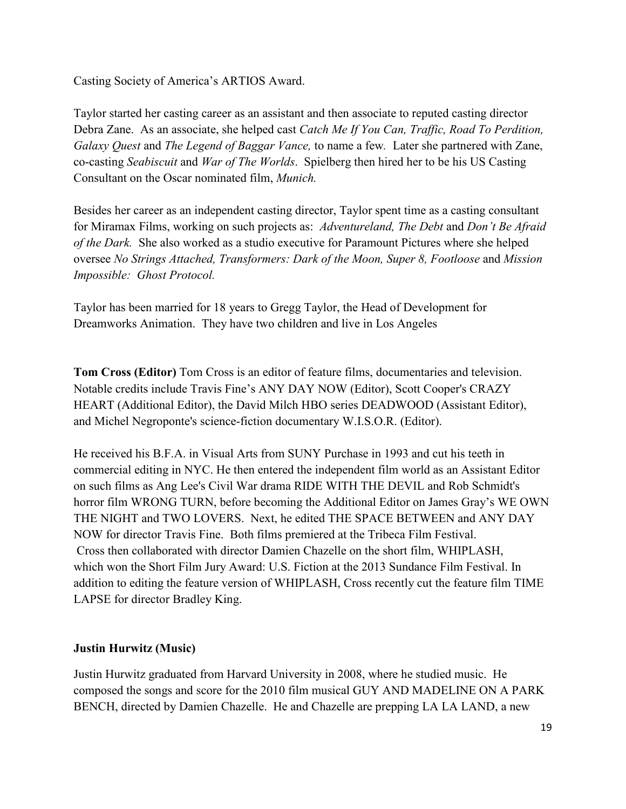Casting Society of America's ARTIOS Award.

Taylor started her casting career as an assistant and then associate to reputed casting director Debra Zane. As an associate, she helped cast *Catch Me If You Can, Traffic, Road To Perdition, Galaxy Quest* and *The Legend of Baggar Vance,* to name a few*.* Later she partnered with Zane, co-casting *Seabiscuit* and *War of The Worlds*. Spielberg then hired her to be his US Casting Consultant on the Oscar nominated film, *Munich.*

Besides her career as an independent casting director, Taylor spent time as a casting consultant for Miramax Films, working on such projects as: *Adventureland, The Debt* and *Don't Be Afraid of the Dark.* She also worked as a studio executive for Paramount Pictures where she helped oversee *No Strings Attached, Transformers: Dark of the Moon, Super 8, Footloose* and *Mission Impossible: Ghost Protocol.*

Taylor has been married for 18 years to Gregg Taylor, the Head of Development for Dreamworks Animation. They have two children and live in Los Angeles

**Tom Cross (Editor)** Tom Cross is an editor of feature films, documentaries and television. Notable credits include Travis Fine's ANY DAY NOW (Editor), Scott Cooper's CRAZY HEART (Additional Editor), the David Milch HBO series DEADWOOD (Assistant Editor), and Michel Negroponte's science-fiction documentary W.I.S.O.R. (Editor).

He received his B.F.A. in Visual Arts from SUNY Purchase in 1993 and cut his teeth in commercial editing in NYC. He then entered the independent film world as an Assistant Editor on such films as Ang Lee's Civil War drama RIDE WITH THE DEVIL and Rob Schmidt's horror film WRONG TURN, before becoming the Additional Editor on James Gray's WE OWN THE NIGHT and TWO LOVERS. Next, he edited THE SPACE BETWEEN and ANY DAY NOW for director Travis Fine. Both films premiered at the Tribeca Film Festival. Cross then collaborated with director Damien Chazelle on the short film, WHIPLASH, which won the Short Film Jury Award: U.S. Fiction at the 2013 Sundance Film Festival. In addition to editing the feature version of WHIPLASH, Cross recently cut the feature film TIME LAPSE for director Bradley King.

#### **Justin Hurwitz (Music)**

Justin Hurwitz graduated from Harvard University in 2008, where he studied music. He composed the songs and score for the 2010 film musical GUY AND MADELINE ON A PARK BENCH, directed by Damien Chazelle. He and Chazelle are prepping LA LA LAND, a new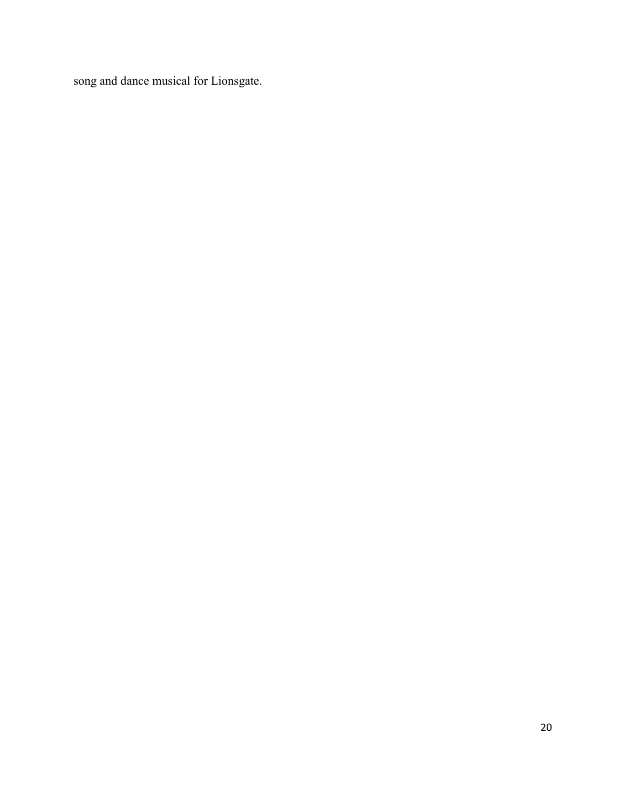song and dance musical for Lionsgate.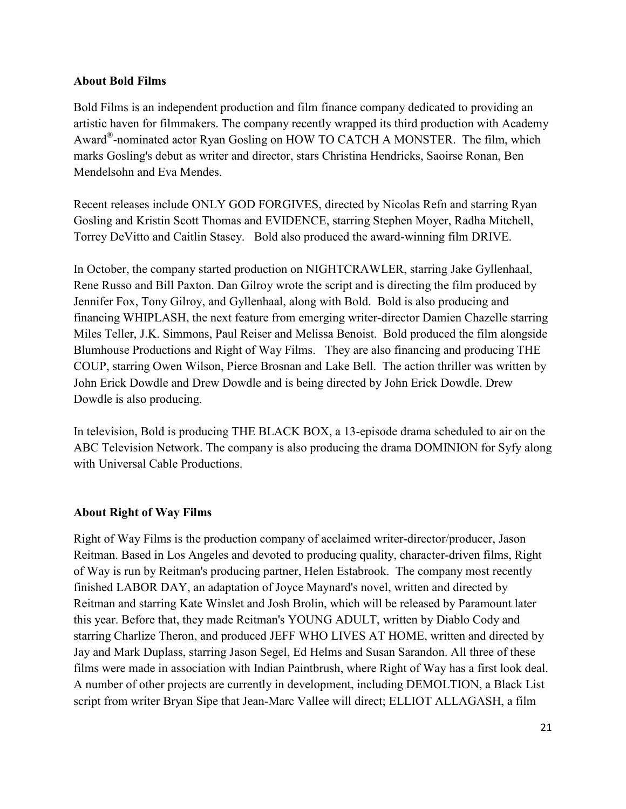#### **About Bold Films**

Bold Films is an independent production and film finance company dedicated to providing an artistic haven for filmmakers. The company recently wrapped its third production with Academy Award®-nominated actor Ryan Gosling on HOW TO CATCH A MONSTER. The film, which marks Gosling's debut as writer and director, stars Christina Hendricks, Saoirse Ronan, Ben Mendelsohn and Eva Mendes.

Recent releases include ONLY GOD FORGIVES, directed by Nicolas Refn and starring Ryan Gosling and Kristin Scott Thomas and EVIDENCE, starring Stephen Moyer, Radha Mitchell, Torrey DeVitto and Caitlin Stasey. Bold also produced the award-winning film DRIVE.

In October, the company started production on NIGHTCRAWLER, starring Jake Gyllenhaal, Rene Russo and Bill Paxton. Dan Gilroy wrote the script and is directing the film produced by Jennifer Fox, Tony Gilroy, and Gyllenhaal, along with Bold. Bold is also producing and financing WHIPLASH, the next feature from emerging writer-director Damien Chazelle starring Miles Teller, J.K. Simmons, Paul Reiser and Melissa Benoist. Bold produced the film alongside Blumhouse Productions and Right of Way Films. They are also financing and producing THE COUP, starring Owen Wilson, Pierce Brosnan and Lake Bell. The action thriller was written by John Erick Dowdle and Drew Dowdle and is being directed by John Erick Dowdle. Drew Dowdle is also producing.

In television, Bold is producing THE BLACK BOX, a 13-episode drama scheduled to air on the ABC Television Network. The company is also producing the drama DOMINION for Syfy along with Universal Cable Productions.

#### **About Right of Way Films**

Right of Way Films is the production company of acclaimed writer-director/producer, Jason Reitman. Based in Los Angeles and devoted to producing quality, character-driven films, Right of Way is run by Reitman's producing partner, Helen Estabrook. The company most recently finished LABOR DAY, an adaptation of Joyce Maynard's novel, written and directed by Reitman and starring Kate Winslet and Josh Brolin, which will be released by Paramount later this year. Before that, they made Reitman's YOUNG ADULT, written by Diablo Cody and starring Charlize Theron, and produced JEFF WHO LIVES AT HOME, written and directed by Jay and Mark Duplass, starring Jason Segel, Ed Helms and Susan Sarandon. All three of these films were made in association with Indian Paintbrush, where Right of Way has a first look deal. A number of other projects are currently in development, including DEMOLTION, a Black List script from writer Bryan Sipe that Jean-Marc Vallee will direct; ELLIOT ALLAGASH, a film